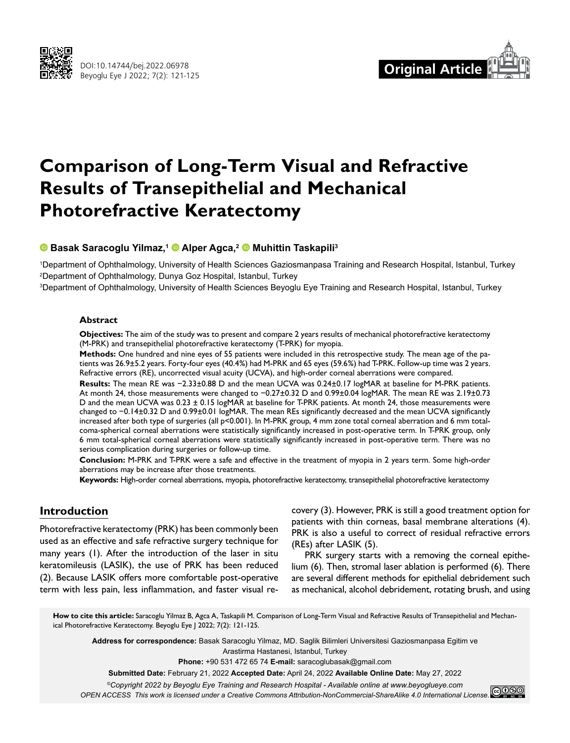



# **Comparison of Long-Term Visual and Refractive Results of Transepithelial and Mechanical Photorefractive Keratectomy**

## **Basak Saracoglu Yilmaz,1Alper Agca,2Muhittin Taskapili3**

1 Department of Ophthalmology, University of Health Sciences Gaziosmanpasa Training and Research Hospital, Istanbul, Turkey 2 Department of Ophthalmology, Dunya Goz Hospital, Istanbul, Turkey

3 Department of Ophthalmology, University of Health Sciences Beyoglu Eye Training and Research Hospital, Istanbul, Turkey

#### **Abstract**

**Objectives:** The aim of the study was to present and compare 2 years results of mechanical photorefractive keratectomy (M-PRK) and transepithelial photorefractive keratectomy (T-PRK) for myopia.

**Methods:** One hundred and nine eyes of 55 patients were included in this retrospective study. The mean age of the patients was 26.9±5.2 years. Forty-four eyes (40.4%) had M-PRK and 65 eyes (59.6%) had T-PRK. Follow-up time was 2 years. Refractive errors (RE), uncorrected visual acuity (UCVA), and high-order corneal aberrations were compared.

**Results:** The mean RE was −2.33±0.88 D and the mean UCVA was 0.24±0.17 logMAR at baseline for M-PRK patients. At month 24, those measurements were changed to −0.27±0.32 D and 0.99±0.04 logMAR. The mean RE was 2.19±0.73 D and the mean UCVA was 0.23 ± 0.15 logMAR at baseline for T-PRK patients. At month 24, those measurements were changed to −0.14±0.32 D and 0.99±0.01 logMAR. The mean REs significantly decreased and the mean UCVA significantly increased after both type of surgeries (all p<0.001). In M-PRK group, 4 mm zone total corneal aberration and 6 mm totalcoma-spherical corneal aberrations were statistically significantly increased in post-operative term. In T-PRK group, only 6 mm total-spherical corneal aberrations were statistically significantly increased in post-operative term. There was no serious complication during surgeries or follow-up time.

**Conclusion:** M-PRK and T-PRK were a safe and effective in the treatment of myopia in 2 years term. Some high-order aberrations may be increase after those treatments.

**Keywords:** High-order corneal aberrations, myopia, photorefractive keratectomy, transepithelial photorefractive keratectomy

# **Introduction**

Photorefractive keratectomy (PRK) has been commonly been used as an effective and safe refractive surgery technique for many years (1). After the introduction of the laser in situ keratomileusis (LASIK), the use of PRK has been reduced (2). Because LASIK offers more comfortable post-operative term with less pain, less inflammation, and faster visual recovery (3). However, PRK is still a good treatment option for patients with thin corneas, basal membrane alterations (4). PRK is also a useful to correct of residual refractive errors (REs) after LASIK (5).

PRK surgery starts with a removing the corneal epithelium (6). Then, stromal laser ablation is performed (6). There are several different methods for epithelial debridement such as mechanical, alcohol debridement, rotating brush, and using

**How to cite this article:** Saracoglu Yilmaz B, Agca A, Taskapili M. Comparison of Long-Term Visual and Refractive Results of Transepithelial and Mechanical Photorefractive Keratectomy. Beyoglu Eye J 2022; 7(2): 121-125.

**Address for correspondence:** Basak Saracoglu Yilmaz, MD. Saglik Bilimleri Universitesi Gaziosmanpasa Egitim ve Arastirma Hastanesi, Istanbul, Turkey

**Phone:** +90 531 472 65 74 **E-mail:** saracoglubasak@gmail.com

**Submitted Date:** February 21, 2022 **Accepted Date:** April 24, 2022 **Available Online Date:** May 27, 2022

*©Copyright 2022 by Beyoglu Eye Training and Research Hospital - Available online at www.beyoglueye.com*

*OPEN ACCESS This work is licensed under a Creative Commons Attribution-NonCommercial-ShareAlike 4.0 International License.*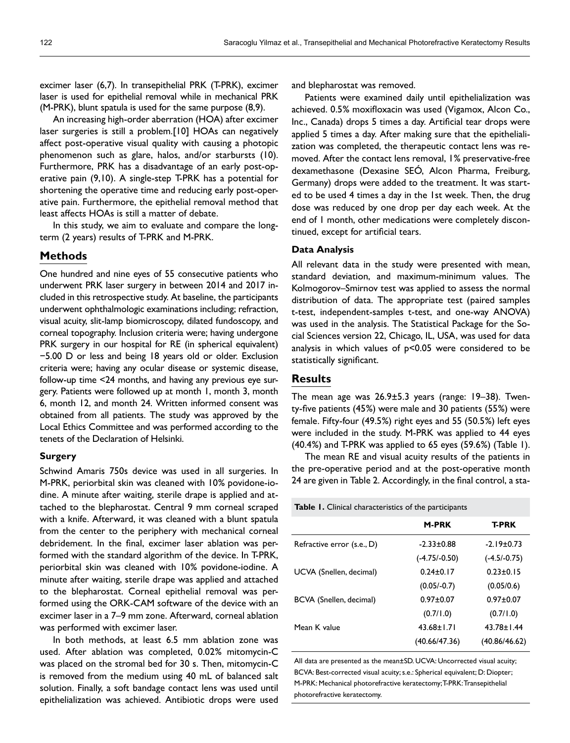excimer laser (6,7). In transepithelial PRK (T-PRK), excimer laser is used for epithelial removal while in mechanical PRK (M-PRK), blunt spatula is used for the same purpose (8,9).

An increasing high-order aberration (HOA) after excimer laser surgeries is still a problem.[10] HOAs can negatively affect post-operative visual quality with causing a photopic phenomenon such as glare, halos, and/or starbursts (10). Furthermore, PRK has a disadvantage of an early post-operative pain (9,10). A single-step T-PRK has a potential for shortening the operative time and reducing early post-operative pain. Furthermore, the epithelial removal method that least affects HOAs is still a matter of debate.

In this study, we aim to evaluate and compare the longterm (2 years) results of T-PRK and M-PRK.

## **Methods**

One hundred and nine eyes of 55 consecutive patients who underwent PRK laser surgery in between 2014 and 2017 included in this retrospective study. At baseline, the participants underwent ophthalmologic examinations including; refraction, visual acuity, slit-lamp biomicroscopy, dilated fundoscopy, and corneal topography. Inclusion criteria were; having undergone PRK surgery in our hospital for RE (in spherical equivalent) −5.00 D or less and being 18 years old or older. Exclusion criteria were; having any ocular disease or systemic disease, follow-up time <24 months, and having any previous eye surgery. Patients were followed up at month 1, month 3, month 6, month 12, and month 24. Written informed consent was obtained from all patients. The study was approved by the Local Ethics Committee and was performed according to the tenets of the Declaration of Helsinki.

#### **Surgery**

Schwind Amaris 750s device was used in all surgeries. In M-PRK, periorbital skin was cleaned with 10% povidone-iodine. A minute after waiting, sterile drape is applied and attached to the blepharostat. Central 9 mm corneal scraped with a knife. Afterward, it was cleaned with a blunt spatula from the center to the periphery with mechanical corneal debridement. In the final, excimer laser ablation was performed with the standard algorithm of the device. In T-PRK, periorbital skin was cleaned with 10% povidone-iodine. A minute after waiting, sterile drape was applied and attached to the blepharostat. Corneal epithelial removal was performed using the ORK-CAM software of the device with an excimer laser in a 7–9 mm zone. Afterward, corneal ablation was performed with excimer laser.

In both methods, at least 6.5 mm ablation zone was used. After ablation was completed, 0.02% mitomycin-C was placed on the stromal bed for 30 s. Then, mitomycin-C is removed from the medium using 40 mL of balanced salt solution. Finally, a soft bandage contact lens was used until epithelialization was achieved. Antibiotic drops were used

and blepharostat was removed.

Patients were examined daily until epithelialization was achieved. 0.5% moxifloxacin was used (Vigamox, Alcon Co., Inc., Canada) drops 5 times a day. Artificial tear drops were applied 5 times a day. After making sure that the epithelialization was completed, the therapeutic contact lens was removed. After the contact lens removal, 1% preservative-free dexamethasone (Dexasine SEÓ, Alcon Pharma, Freiburg, Germany) drops were added to the treatment. It was started to be used 4 times a day in the 1st week. Then, the drug dose was reduced by one drop per day each week. At the end of 1 month, other medications were completely discontinued, except for artificial tears.

#### **Data Analysis**

All relevant data in the study were presented with mean, standard deviation, and maximum-minimum values. The Kolmogorov–Smirnov test was applied to assess the normal distribution of data. The appropriate test (paired samples t-test, independent-samples t-test, and one-way ANOVA) was used in the analysis. The Statistical Package for the Social Sciences version 22, Chicago, IL, USA, was used for data analysis in which values of p<0.05 were considered to be statistically significant.

## **Results**

The mean age was 26.9±5.3 years (range: 19–38). Twenty-five patients (45%) were male and 30 patients (55%) were female. Fifty-four (49.5%) right eyes and 55 (50.5%) left eyes were included in the study. M-PRK was applied to 44 eyes (40.4%) and T-PRK was applied to 65 eyes (59.6%) (Table 1).

The mean RE and visual acuity results of the patients in the pre-operative period and at the post-operative month 24 are given in Table 2. Accordingly, in the final control, a sta-

**Table 1.** Clinical characteristics of the participants

| <b>M-PRK</b>     | <b>T-PRK</b>     |
|------------------|------------------|
| $-2.33 \pm 0.88$ | $-2.19 \pm 0.73$ |
| $(-4.75/-0.50)$  | $(-4.5/-0.75)$   |
| $0.24 + 0.17$    | $0.23 + 0.15$    |
| $(0.05/-0.7)$    | (0.05/0.6)       |
| $0.97 + 0.07$    | $0.97 + 0.07$    |
| (0.7/1.0)        | (0.7/1.0)        |
| $43.68 \pm 1.71$ | $43.78 \pm 1.44$ |
| (40.66/47.36)    | (40.86/46.62)    |
|                  |                  |

All data are presented as the mean±SD. UCVA: Uncorrected visual acuity; BCVA: Best-corrected visual acuity; s.e.: Spherical equivalent; D: Diopter; M-PRK: Mechanical photorefractive keratectomy; T-PRK: Transepithelial photorefractive keratectomy.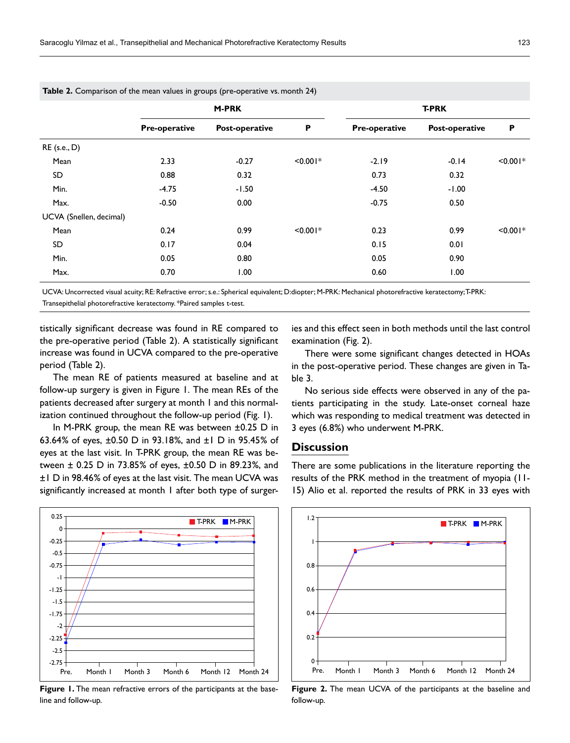|                         | <b>M-PRK</b>  |                |            | <b>T-PRK</b>         |                |            |
|-------------------------|---------------|----------------|------------|----------------------|----------------|------------|
|                         | Pre-operative | Post-operative | P          | <b>Pre-operative</b> | Post-operative | P          |
| RE (s.e., D)            |               |                |            |                      |                |            |
| Mean                    | 2.33          | $-0.27$        | $< 0.001*$ | $-2.19$              | $-0.14$        | $< 0.001*$ |
| SD                      | 0.88          | 0.32           |            | 0.73                 | 0.32           |            |
| Min.                    | $-4.75$       | $-1.50$        |            | $-4.50$              | $-1.00$        |            |
| Max.                    | $-0.50$       | 0.00           |            | $-0.75$              | 0.50           |            |
| UCVA (Snellen, decimal) |               |                |            |                      |                |            |
| Mean                    | 0.24          | 0.99           | $< 0.001*$ | 0.23                 | 0.99           | $< 0.001*$ |
| SD                      | 0.17          | 0.04           |            | 0.15                 | 0.01           |            |
| Min.                    | 0.05          | 0.80           |            | 0.05                 | 0.90           |            |
| Max.                    | 0.70          | 1.00           |            | 0.60                 | 1.00           |            |

**Table 2.** Comparison of the mean values in groups (pre-operative vs. month 24)

UCVA: Uncorrected visual acuity; RE: Refractive error; s.e.: Spherical equivalent; D:diopter; M-PRK: Mechanical photorefractive keratectomy; T-PRK: Transepithelial photorefractive keratectomy. \*Paired samples t-test.

tistically significant decrease was found in RE compared to the pre-operative period (Table 2). A statistically significant increase was found in UCVA compared to the pre-operative period (Table 2).

The mean RE of patients measured at baseline and at follow-up surgery is given in Figure 1. The mean REs of the patients decreased after surgery at month 1 and this normalization continued throughout the follow-up period (Fig. 1).

In M-PRK group, the mean RE was between ±0.25 D in 63.64% of eyes, ±0.50 D in 93.18%, and ±1 D in 95.45% of eyes at the last visit. In T-PRK group, the mean RE was between ± 0.25 D in 73.85% of eyes, ±0.50 D in 89.23%, and ±1 D in 98.46% of eyes at the last visit. The mean UCVA was significantly increased at month 1 after both type of surger-



**Figure 1.** The mean refractive errors of the participants at the baseline and follow-up.

ies and this effect seen in both methods until the last control examination (Fig. 2).

There were some significant changes detected in HOAs in the post-operative period. These changes are given in Table 3.

No serious side effects were observed in any of the patients participating in the study. Late-onset corneal haze which was responding to medical treatment was detected in 3 eyes (6.8%) who underwent M-PRK.

# **Discussion**

There are some publications in the literature reporting the results of the PRK method in the treatment of myopia (11- 15) Alio et al. reported the results of PRK in 33 eyes with



**Figure 2.** The mean UCVA of the participants at the baseline and follow-up.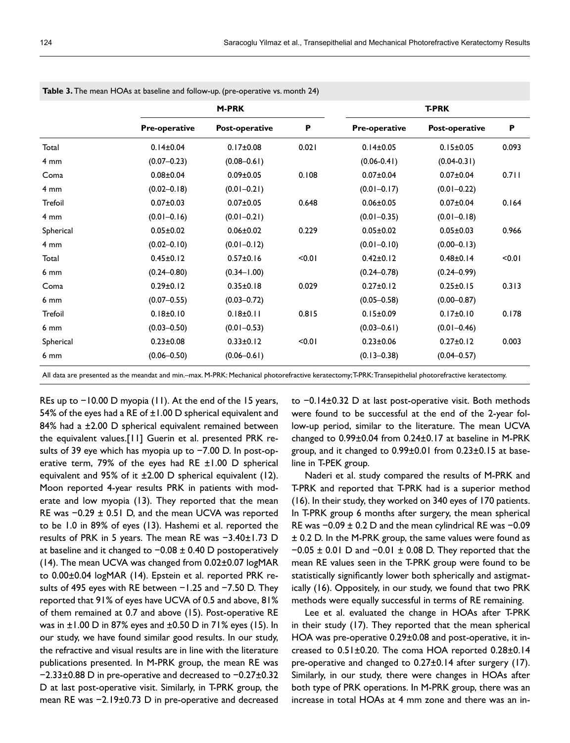|                 | <b>M-PRK</b>         |                 |        | <b>T-PRK</b>         |                 |       |
|-----------------|----------------------|-----------------|--------|----------------------|-----------------|-------|
|                 | <b>Pre-operative</b> | Post-operative  | P      | <b>Pre-operative</b> | Post-operative  | P     |
| Total           | $0.14 \pm 0.04$      | $0.17 \pm 0.08$ | 0.021  | $0.14 \pm 0.05$      | $0.15 \pm 0.05$ | 0.093 |
| $4 \text{ mm}$  | $(0.07 - 0.23)$      | $(0.08 - 0.61)$ |        | $(0.06 - 0.41)$      | $(0.04 - 0.31)$ |       |
| Coma            | $0.08 \pm 0.04$      | $0.09 \pm 0.05$ | 0.108  | $0.07 \pm 0.04$      | $0.07 \pm 0.04$ | 0.711 |
| $4 \text{ mm}$  | $(0.02 - 0.18)$      | $(0.01 - 0.21)$ |        | $(0.01 - 0.17)$      | $(0.01 - 0.22)$ |       |
| <b>Trefoil</b>  | $0.07 \pm 0.03$      | $0.07 \pm 0.05$ | 0.648  | $0.06 \pm 0.05$      | $0.07 \pm 0.04$ | 0.164 |
| 4 <sub>mm</sub> | $(0.01 - 0.16)$      | $(0.01 - 0.21)$ |        | $(0.01 - 0.35)$      | $(0.01 - 0.18)$ |       |
| Spherical       | $0.05 \pm 0.02$      | $0.06 \pm 0.02$ | 0.229  | $0.05 \pm 0.02$      | $0.05 \pm 0.03$ | 0.966 |
| $4 \text{ mm}$  | $(0.02 - 0.10)$      | $(0.01 - 0.12)$ |        | $(0.01 - 0.10)$      | $(0.00 - 0.13)$ |       |
| Total           | $0.45 \pm 0.12$      | $0.57 \pm 0.16$ | < 0.01 | $0.42 \pm 0.12$      | $0.48 \pm 0.14$ | 10.0  |
| $6 \text{ mm}$  | $(0.24 - 0.80)$      | $(0.34 - 1.00)$ |        | $(0.24 - 0.78)$      | $(0.24 - 0.99)$ |       |
| Coma            | $0.29 \pm 0.12$      | $0.35 \pm 0.18$ | 0.029  | $0.27 \pm 0.12$      | $0.25 \pm 0.15$ | 0.313 |
| $6 \text{ mm}$  | $(0.07 - 0.55)$      | $(0.03 - 0.72)$ |        | $(0.05 - 0.58)$      | $(0.00 - 0.87)$ |       |
| <b>Trefoil</b>  | $0.18 \pm 0.10$      | $0.18 \pm 0.11$ | 0.815  | $0.15 \pm 0.09$      | $0.17 \pm 0.10$ | 0.178 |
| $6 \text{ mm}$  | $(0.03 - 0.50)$      | $(0.01 - 0.53)$ |        | $(0.03 - 0.61)$      | $(0.01 - 0.46)$ |       |
| Spherical       | $0.23 \pm 0.08$      | $0.33 \pm 0.12$ | < 0.01 | $0.23 \pm 0.06$      | $0.27 \pm 0.12$ | 0.003 |
| $6 \text{ mm}$  | $(0.06 - 0.50)$      | $(0.06 - 0.61)$ |        | $(0.13 - 0.38)$      | $(0.04 - 0.57)$ |       |

**Table 3.** The mean HOAs at baseline and follow-up. (pre-operative vs. month 24)

All data are presented as the meandat and min.–max. M-PRK: Mechanical photorefractive keratectomy; T-PRK: Transepithelial photorefractive keratectomy.

REs up to −10.00 D myopia (11). At the end of the 15 years, 54% of the eyes had a RE of  $\pm 1.00$  D spherical equivalent and 84% had a ±2.00 D spherical equivalent remained between the equivalent values.[11] Guerin et al. presented PRK results of 39 eye which has myopia up to −7.00 D. In post-operative term, 79% of the eyes had RE ±1.00 D spherical equivalent and 95% of it  $\pm 2.00$  D spherical equivalent (12). Moon reported 4-year results PRK in patients with moderate and low myopia (13). They reported that the mean RE was −0.29 ± 0.51 D, and the mean UCVA was reported to be 1.0 in 89% of eyes (13). Hashemi et al. reported the results of PRK in 5 years. The mean RE was −3.40±1.73 D at baseline and it changed to −0.08 ± 0.40 D postoperatively (14). The mean UCVA was changed from 0.02±0.07 logMAR to 0.00±0.04 logMAR (14). Epstein et al. reported PRK results of 495 eyes with RE between −1.25 and −7.50 D. They reported that 91% of eyes have UCVA of 0.5 and above, 81% of them remained at 0.7 and above (15). Post-operative RE was in  $\pm 1.00$  D in 87% eyes and  $\pm 0.50$  D in 71% eyes (15). In our study, we have found similar good results. In our study, the refractive and visual results are in line with the literature publications presented. In M-PRK group, the mean RE was −2.33±0.88 D in pre-operative and decreased to −0.27±0.32 D at last post-operative visit. Similarly, in T-PRK group, the mean RE was -2.19±0.73 D in pre-operative and decreased

to −0.14±0.32 D at last post-operative visit. Both methods were found to be successful at the end of the 2-year follow-up period, similar to the literature. The mean UCVA changed to 0.99±0.04 from 0.24±0.17 at baseline in M-PRK group, and it changed to 0.99±0.01 from 0.23±0.15 at baseline in T-PEK group.

Naderi et al. study compared the results of M-PRK and T-PRK and reported that T-PRK had is a superior method (16). In their study, they worked on 340 eyes of 170 patients. In T-PRK group 6 months after surgery, the mean spherical RE was −0.09 ± 0.2 D and the mean cylindrical RE was −0.09 ± 0.2 D. In the M-PRK group, the same values were found as −0.05 ± 0.01 D and −0.01 ± 0.08 D. They reported that the mean RE values seen in the T-PRK group were found to be statistically significantly lower both spherically and astigmatically (16). Oppositely, in our study, we found that two PRK methods were equally successful in terms of RE remaining.

Lee et al. evaluated the change in HOAs after T-PRK in their study (17). They reported that the mean spherical HOA was pre-operative 0.29±0.08 and post-operative, it increased to 0.51±0.20. The coma HOA reported 0.28±0.14 pre-operative and changed to 0.27±0.14 after surgery (17). Similarly, in our study, there were changes in HOAs after both type of PRK operations. In M-PRK group, there was an increase in total HOAs at 4 mm zone and there was an in-